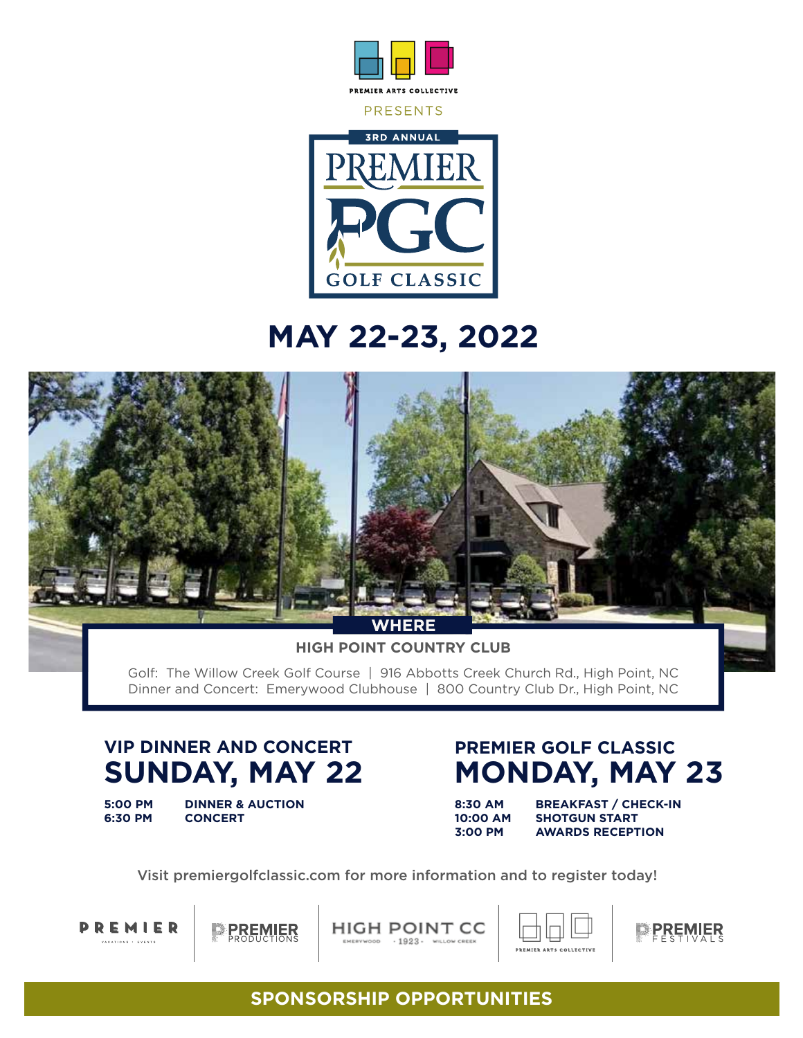



# **MAY 22-23, 2022**



**HIGH POINT COUNTRY CLUB**

Golf: The Willow Creek Golf Course | 916 Abbotts Creek Church Rd., High Point, NC Dinner and Concert: Emerywood Clubhouse | 800 Country Club Dr., High Point, NC

## **SUNDAY, MAY 22 VIP DINNER AND CONCERT**

**5:00 PM DINNER & AUCTION 6:30 PM CONCERT**

### **MONDAY, MAY 23 PREMIER GOLF CLASSIC**

**8:30 AM BREAKFAST / CHECK-IN 10:00 AM SHOTGUN START**<br>**3:00 PM AWARDS RECEPT AWARDS RECEPTION** 

Visit premiergolfclassic.com for more information and to register today!



**PREMIER** 

**HIGH POINT CC** EMERYWOOD . 1923 . WILLOW CREEK





### **SPONSORSHIP OPPORTUNITIES**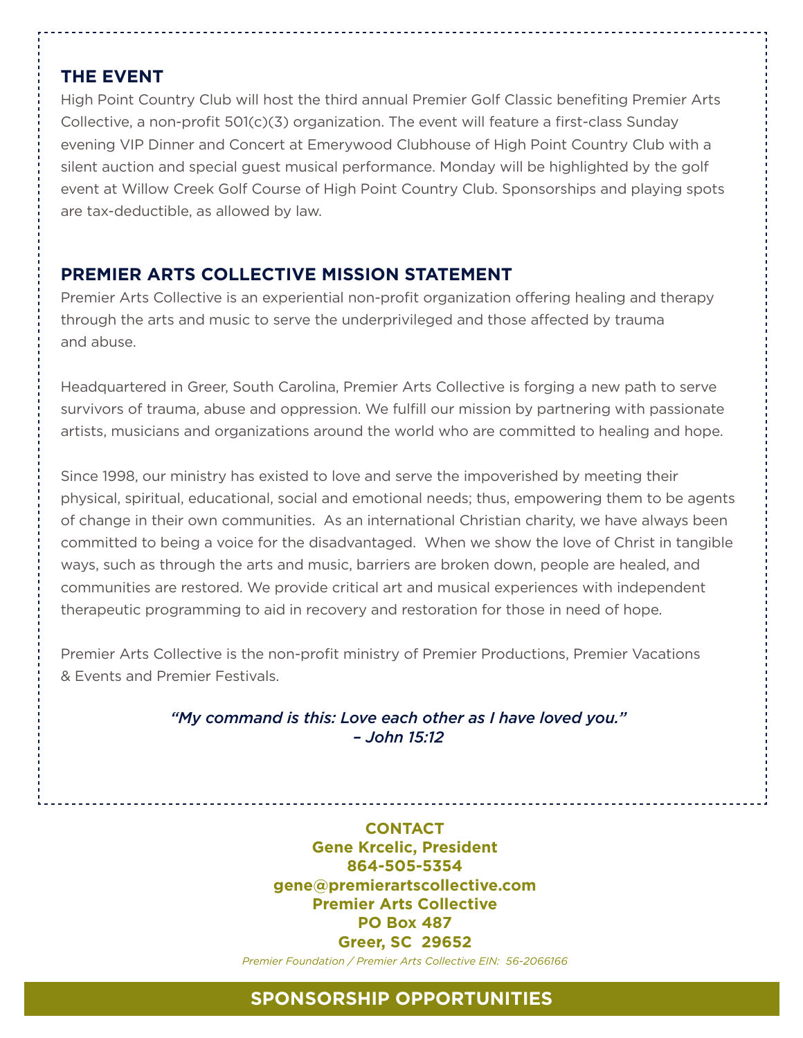### **THE EVENT**

High Point Country Club will host the third annual Premier Golf Classic benefiting Premier Arts Collective, a non-profit 501(c)(3) organization. The event will feature a first-class Sunday evening VIP Dinner and Concert at Emerywood Clubhouse of High Point Country Club with a silent auction and special guest musical performance. Monday will be highlighted by the golf event at Willow Creek Golf Course of High Point Country Club. Sponsorships and playing spots are tax-deductible, as allowed by law.

### **PREMIER ARTS COLLECTIVE MISSION STATEMENT**

Premier Arts Collective is an experiential non-profit organization offering healing and therapy through the arts and music to serve the underprivileged and those affected by trauma and abuse.

Headquartered in Greer, South Carolina, Premier Arts Collective is forging a new path to serve survivors of trauma, abuse and oppression. We fulfill our mission by partnering with passionate artists, musicians and organizations around the world who are committed to healing and hope.

Since 1998, our ministry has existed to love and serve the impoverished by meeting their physical, spiritual, educational, social and emotional needs; thus, empowering them to be agents of change in their own communities. As an international Christian charity, we have always been committed to being a voice for the disadvantaged. When we show the love of Christ in tangible ways, such as through the arts and music, barriers are broken down, people are healed, and communities are restored. We provide critical art and musical experiences with independent therapeutic programming to aid in recovery and restoration for those in need of hope.

Premier Arts Collective is the non-profit ministry of Premier Productions, Premier Vacations & Events and Premier Festivals.

> *"My command is this: Love each other as I have loved you." – John 15:12*

> > **CONTACT Gene Krcelic, President 864-505-5354 gene@premierartscollective.com Premier Arts Collective PO Box 487 Greer, SC 29652** *Premier Foundation / Premier Arts Collective EIN: 56-2066166*

### **SPONSORSHIP OPPORTUNITIES**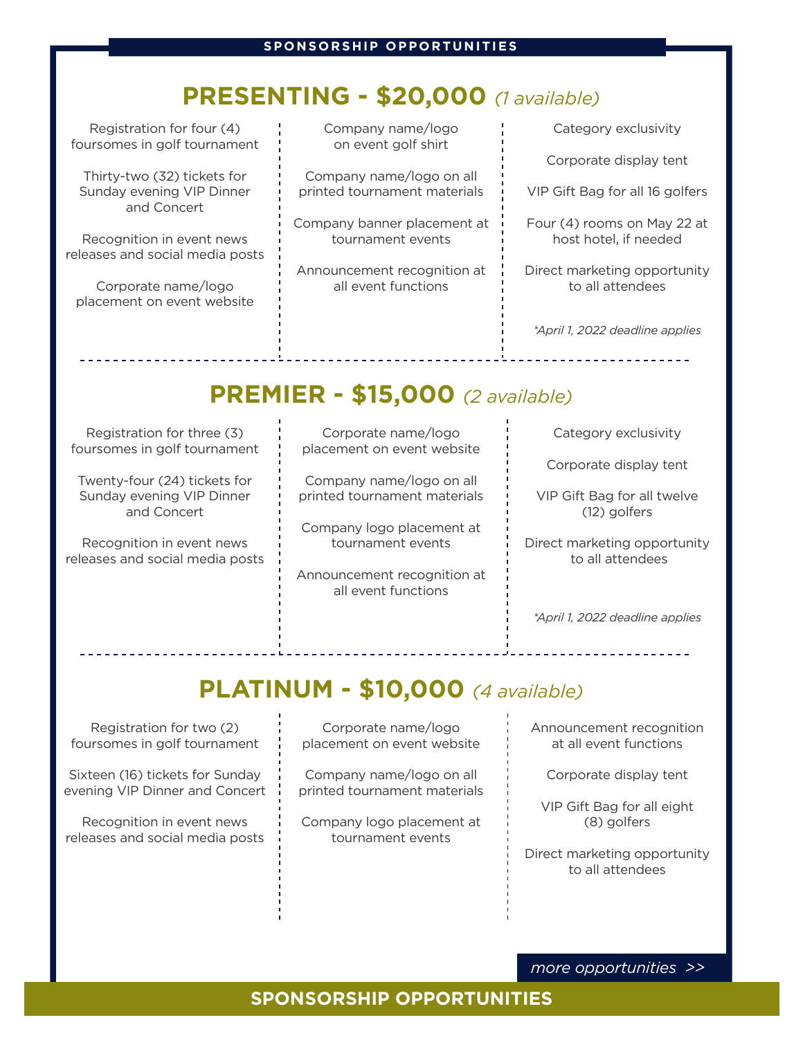## **PRESENTING - \$20,000** *(1 available)*

Registration for four (4) foursomes in golf tournament

Thirty-two (32) tickets for Sunday evening VIP Dinner and Concert

Recognition in event news releases and social media posts

Corporate name/logo placement on event website

<u>a dia amin'ny fivondronan-</u>

Company name/logo on event golf shirt

Company name/logo on all printed tournament materials

Company banner placement at tournament events

Announcement recognition at all event functions

Category exclusivity Corporate display tent VIP Gift Bag for all 16 golfers

Four (4) rooms on May 22 at host hotel, if needed

Direct marketing opportunity to all attendees

*\*April 1, 2022 deadline applies*

## **PREMIER - \$15,000** *(2 available)*

Registration for three (3) foursomes in golf tournament

Twenty-four (24) tickets for Sunday evening VIP Dinner and Concert

Recognition in event news releases and social media posts

Corporate name/logo placement on event website

Company name/logo on all printed tournament materials

Company logo placement at tournament events

Announcement recognition at all event functions

Category exclusivity

Corporate display tent

VIP Gift Bag for all twelve (12) golfers

Direct marketing opportunity to all attendees

*\*April 1, 2022 deadline applies*

. . . . . . . . . . . . .

## **PLATINUM - \$10,000** *(4 available)*

Registration for two (2) foursomes in golf tournament

Sixteen (16) tickets for Sunday evening VIP Dinner and Concert

Recognition in event news releases and social media posts

Corporate name/logo placement on event website

Company name/logo on all printed tournament materials

Company logo placement at tournament events

Announcement recognition at all event functions

Corporate display tent

VIP Gift Bag for all eight (8) golfers

Direct marketing opportunity to all attendees

*more opportunities >>*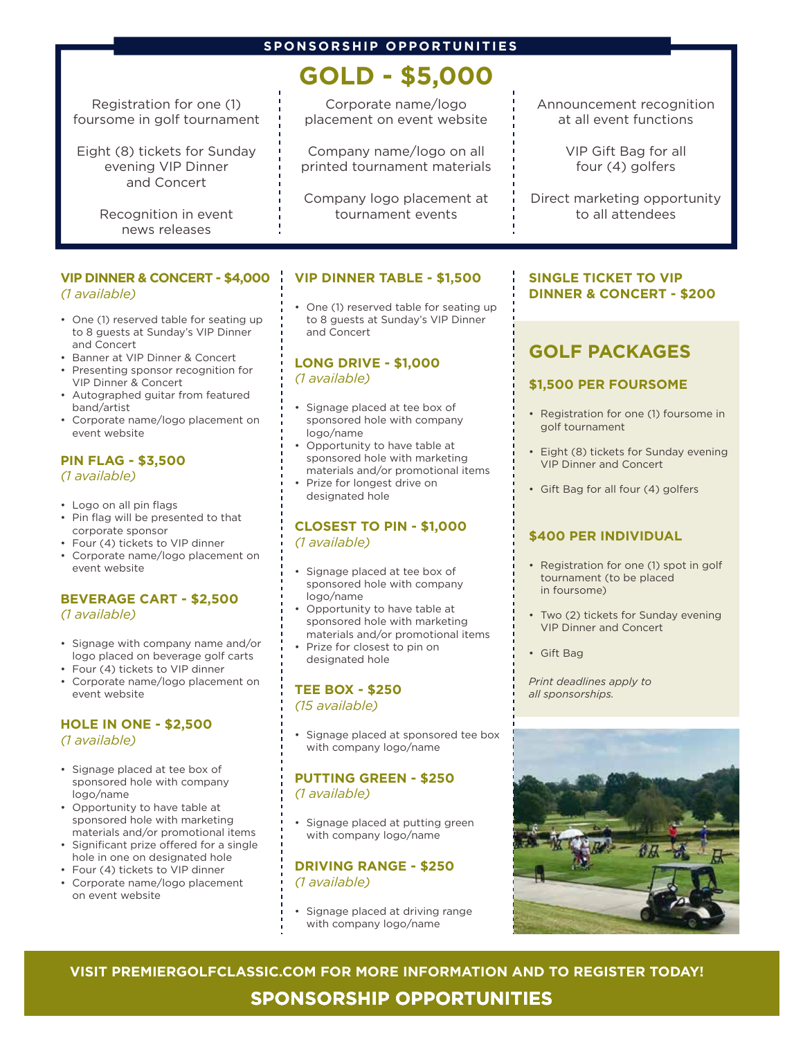#### **SPONSORSHIP OPPORTUNITIES**

## **GOLD - \$5,000**

Registration for one (1) foursome in golf tournament

Eight (8) tickets for Sunday evening VIP Dinner and Concert

> Recognition in event news releases

#### **VIP DINNER & CONCERT - \$4,000** *(1 available)*

- One (1) reserved table for seating up to 8 guests at Sunday's VIP Dinner and Concert
- Banner at VIP Dinner & Concert
- Presenting sponsor recognition for VIP Dinner & Concert
- Autographed guitar from featured band/artist
- Corporate name/logo placement on event website

#### **PIN FLAG - \$3,500** *(1 available)*

- Logo on all pin flags
- Pin flag will be presented to that corporate sponsor
- Four (4) tickets to VIP dinner
- Corporate name/logo placement on event website

#### **BEVERAGE CART - \$2,500** *(1 available)*

- Signage with company name and/or logo placed on beverage golf carts
- Four (4) tickets to VIP dinner
- Corporate name/logo placement on event website

#### **HOLE IN ONE - \$2,500**  *(1 available)*

- Signage placed at tee box of sponsored hole with company logo/name
- Opportunity to have table at sponsored hole with marketing materials and/or promotional items
- Significant prize offered for a single hole in one on designated hole
- Four (4) tickets to VIP dinner
- Corporate name/logo placement on event website

Corporate name/logo placement on event website

Company name/logo on all printed tournament materials

Company logo placement at tournament events

#### **VIP DINNER TABLE - \$1,500**

• One (1) reserved table for seating up to 8 guests at Sunday's VIP Dinner and Concert

#### **LONG DRIVE - \$1,000**  *(1 available)*

- Signage placed at tee box of sponsored hole with company logo/name
- Opportunity to have table at sponsored hole with marketing materials and/or promotional items
- Prize for longest drive on designated hole

#### **CLOSEST TO PIN - \$1,000**  *(1 available)*

- Signage placed at tee box of sponsored hole with company logo/name
- Opportunity to have table at sponsored hole with marketing materials and/or promotional items
- Prize for closest to pin on designated hole

#### **TEE BOX - \$250**

*(15 available)*

• Signage placed at sponsored tee box with company logo/name

#### **PUTTING GREEN - \$250**  *(1 available)*

Signage placed at putting green with company logo/name

#### **DRIVING RANGE - \$250**  *(1 available)*

Signage placed at driving range with company logo/name

#### Announcement recognition at all event functions

VIP Gift Bag for all four (4) golfers

Direct marketing opportunity to all attendees

#### **SINGLE TICKET TO VIP DINNER & CONCERT - \$200**

### **GOLF PACKAGES**

#### **\$1,500 PER FOURSOME**

- Registration for one (1) foursome in golf tournament
- Eight (8) tickets for Sunday evening VIP Dinner and Concert
- Gift Bag for all four (4) golfers

#### **\$400 PER INDIVIDUAL**

- Registration for one (1) spot in golf tournament (to be placed in foursome)
- Two (2) tickets for Sunday evening VIP Dinner and Concert
- Gift Bag

*Print deadlines apply to all sponsorships.* 



**VISIT PREMIERGOLFCLASSIC.COM FOR MORE INFORMATION AND TO REGISTER TODAY!** 

**SPONSORSHIP OPPORTUNITIES**